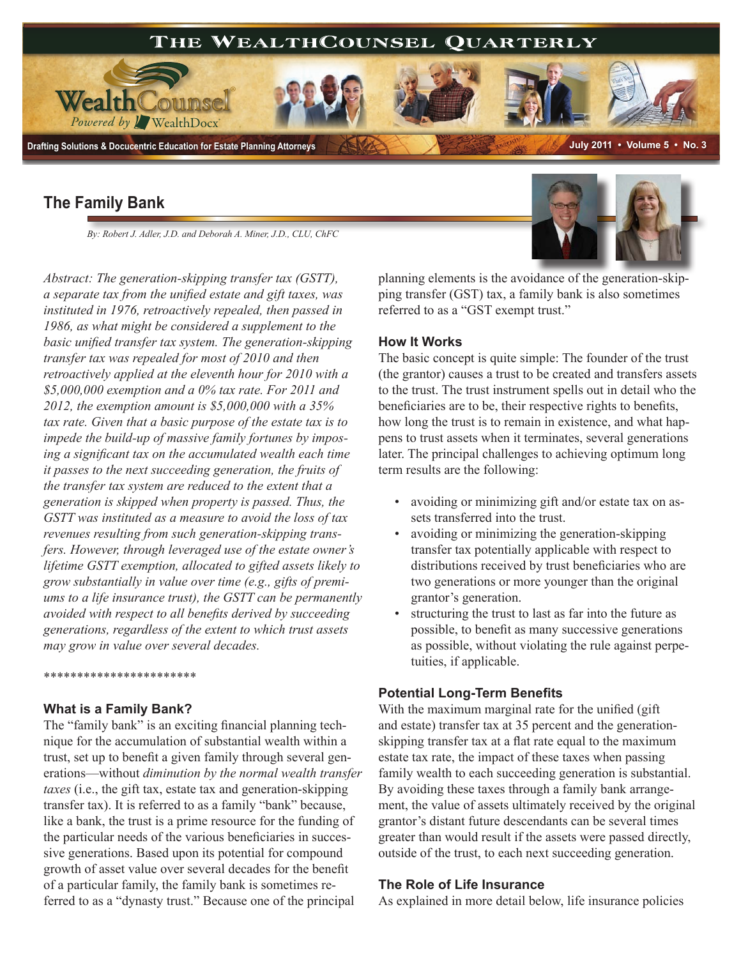

*By: Robert J. Adler, J.D. and Deborah A. Miner, J.D., CLU, ChFC*

*Abstract: The generation-skipping transfer tax (GSTT), a separate tax from the unified estate and gift taxes, was instituted in 1976, retroactively repealed, then passed in 1986, as what might be considered a supplement to the basic unified transfer tax system. The generation-skipping transfer tax was repealed for most of 2010 and then retroactively applied at the eleventh hour for 2010 with a \$5,000,000 exemption and a 0% tax rate. For 2011 and 2012, the exemption amount is \$5,000,000 with a 35% tax rate. Given that a basic purpose of the estate tax is to impede the build-up of massive family fortunes by imposing a significant tax on the accumulated wealth each time it passes to the next succeeding generation, the fruits of the transfer tax system are reduced to the extent that a generation is skipped when property is passed. Thus, the GSTT was instituted as a measure to avoid the loss of tax revenues resulting from such generation-skipping transfers. However, through leveraged use of the estate owner's lifetime GSTT exemption, allocated to gifted assets likely to grow substantially in value over time (e.g., gifts of premiums to a life insurance trust), the GSTT can be permanently avoided with respect to all benefits derived by succeeding generations, regardless of the extent to which trust assets may grow in value over several decades.*

#### \*\*\*\*\*\*\*\*\*\*\*\*\*\*\*\*\*\*\*\*\*\*\*

#### **What is a Family Bank?**

The "family bank" is an exciting financial planning technique for the accumulation of substantial wealth within a trust, set up to benefit a given family through several generations—without *diminution by the normal wealth transfer taxes* (i.e., the gift tax, estate tax and generation-skipping transfer tax). It is referred to as a family "bank" because, like a bank, the trust is a prime resource for the funding of the particular needs of the various beneficiaries in successive generations. Based upon its potential for compound growth of asset value over several decades for the benefit of a particular family, the family bank is sometimes referred to as a "dynasty trust." Because one of the principal



planning elements is the avoidance of the generation-skipping transfer (GST) tax, a family bank is also sometimes referred to as a "GST exempt trust."

### **How It Works**

The basic concept is quite simple: The founder of the trust (the grantor) causes a trust to be created and transfers assets to the trust. The trust instrument spells out in detail who the beneficiaries are to be, their respective rights to benefits, how long the trust is to remain in existence, and what happens to trust assets when it terminates, several generations later. The principal challenges to achieving optimum long term results are the following:

- avoiding or minimizing gift and/or estate tax on assets transferred into the trust.
- avoiding or minimizing the generation-skipping transfer tax potentially applicable with respect to distributions received by trust beneficiaries who are two generations or more younger than the original grantor's generation.
- structuring the trust to last as far into the future as possible, to benefit as many successive generations as possible, without violating the rule against perpetuities, if applicable.

### **Potential Long-Term Benefits**

With the maximum marginal rate for the unified (gift and estate) transfer tax at 35 percent and the generationskipping transfer tax at a flat rate equal to the maximum estate tax rate, the impact of these taxes when passing family wealth to each succeeding generation is substantial. By avoiding these taxes through a family bank arrangement, the value of assets ultimately received by the original grantor's distant future descendants can be several times greater than would result if the assets were passed directly, outside of the trust, to each next succeeding generation.

### **The Role of Life Insurance**

As explained in more detail below, life insurance policies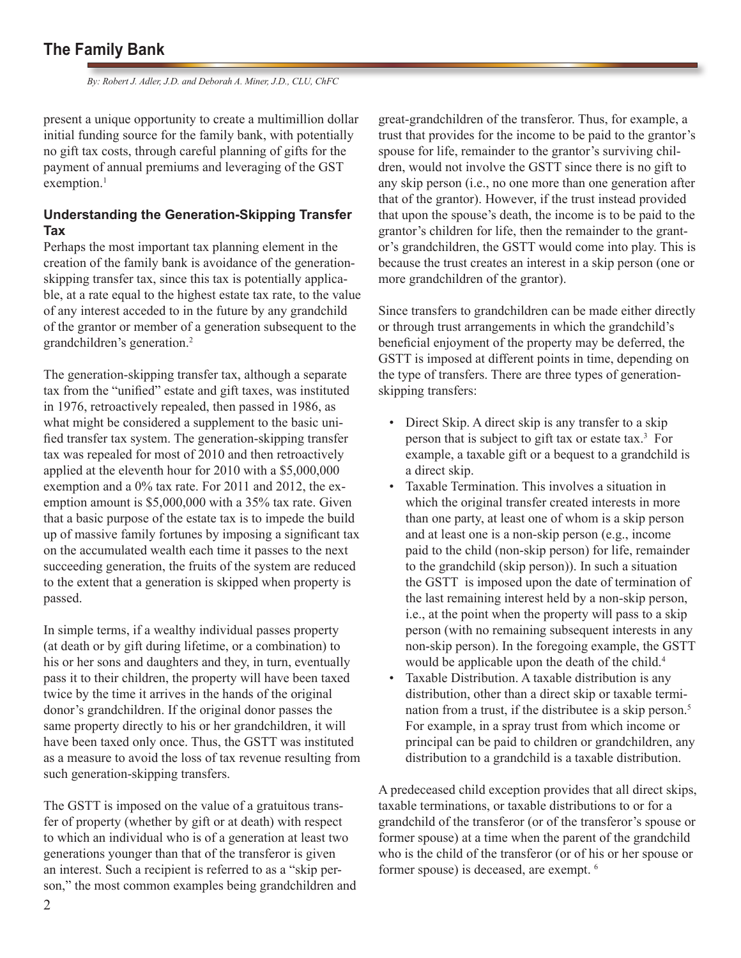*By: Robert J. Adler, J.D. and Deborah A. Miner, J.D., CLU, ChFC*

present a unique opportunity to create a multimillion dollar initial funding source for the family bank, with potentially no gift tax costs, through careful planning of gifts for the payment of annual premiums and leveraging of the GST exemption.<sup>1</sup>

## **Understanding the Generation-Skipping Transfer Tax**

Perhaps the most important tax planning element in the creation of the family bank is avoidance of the generationskipping transfer tax, since this tax is potentially applicable, at a rate equal to the highest estate tax rate, to the value of any interest acceded to in the future by any grandchild of the grantor or member of a generation subsequent to the grandchildren's generation.2

The generation-skipping transfer tax, although a separate tax from the "unified" estate and gift taxes, was instituted in 1976, retroactively repealed, then passed in 1986, as what might be considered a supplement to the basic unified transfer tax system. The generation-skipping transfer tax was repealed for most of 2010 and then retroactively applied at the eleventh hour for 2010 with a \$5,000,000 exemption and a 0% tax rate. For 2011 and 2012, the exemption amount is \$5,000,000 with a 35% tax rate. Given that a basic purpose of the estate tax is to impede the build up of massive family fortunes by imposing a significant tax on the accumulated wealth each time it passes to the next succeeding generation, the fruits of the system are reduced to the extent that a generation is skipped when property is passed.

In simple terms, if a wealthy individual passes property (at death or by gift during lifetime, or a combination) to his or her sons and daughters and they, in turn, eventually pass it to their children, the property will have been taxed twice by the time it arrives in the hands of the original donor's grandchildren. If the original donor passes the same property directly to his or her grandchildren, it will have been taxed only once. Thus, the GSTT was instituted as a measure to avoid the loss of tax revenue resulting from such generation-skipping transfers.

The GSTT is imposed on the value of a gratuitous transfer of property (whether by gift or at death) with respect to which an individual who is of a generation at least two generations younger than that of the transferor is given an interest. Such a recipient is referred to as a "skip person," the most common examples being grandchildren and great-grandchildren of the transferor. Thus, for example, a trust that provides for the income to be paid to the grantor's spouse for life, remainder to the grantor's surviving children, would not involve the GSTT since there is no gift to any skip person (i.e., no one more than one generation after that of the grantor). However, if the trust instead provided that upon the spouse's death, the income is to be paid to the grantor's children for life, then the remainder to the grantor's grandchildren, the GSTT would come into play. This is because the trust creates an interest in a skip person (one or more grandchildren of the grantor).

Since transfers to grandchildren can be made either directly or through trust arrangements in which the grandchild's beneficial enjoyment of the property may be deferred, the GSTT is imposed at different points in time, depending on the type of transfers. There are three types of generationskipping transfers:

- Direct Skip. A direct skip is any transfer to a skip person that is subject to gift tax or estate tax.3 For example, a taxable gift or a bequest to a grandchild is a direct skip.
- Taxable Termination. This involves a situation in which the original transfer created interests in more than one party, at least one of whom is a skip person and at least one is a non-skip person (e.g., income paid to the child (non-skip person) for life, remainder to the grandchild (skip person)). In such a situation the GSTT is imposed upon the date of termination of the last remaining interest held by a non-skip person, i.e., at the point when the property will pass to a skip person (with no remaining subsequent interests in any non-skip person). In the foregoing example, the GSTT would be applicable upon the death of the child.<sup>4</sup>
- Taxable Distribution. A taxable distribution is any distribution, other than a direct skip or taxable termination from a trust, if the distributee is a skip person.<sup>5</sup> For example, in a spray trust from which income or principal can be paid to children or grandchildren, any distribution to a grandchild is a taxable distribution.

A predeceased child exception provides that all direct skips, taxable terminations, or taxable distributions to or for a grandchild of the transferor (or of the transferor's spouse or former spouse) at a time when the parent of the grandchild who is the child of the transferor (or of his or her spouse or former spouse) is deceased, are exempt. 6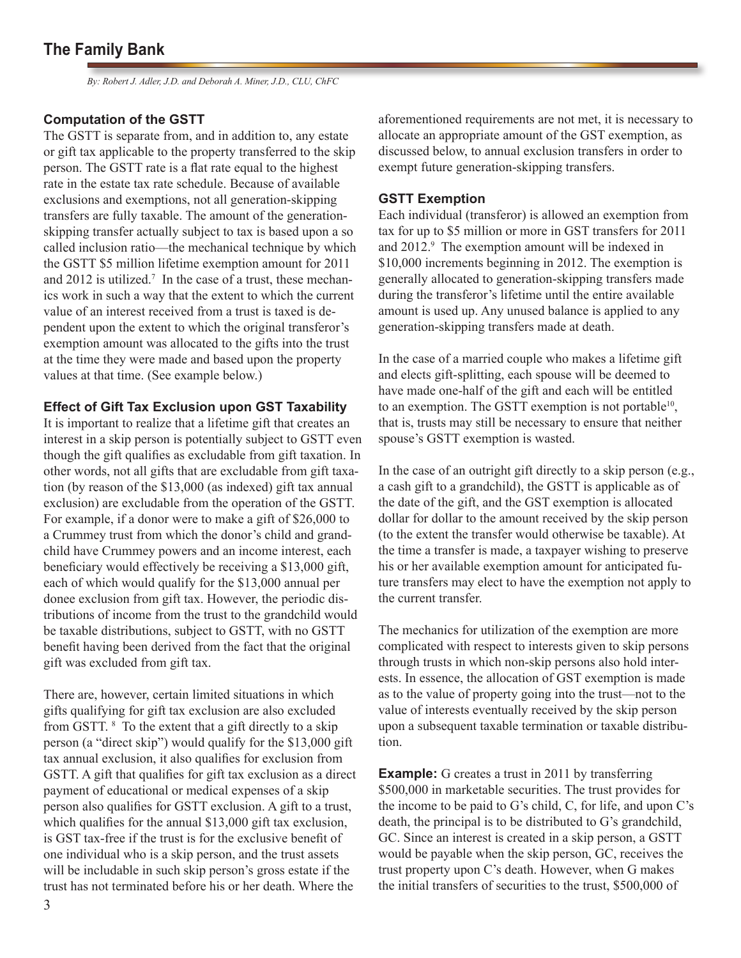*By: Robert J. Adler, J.D. and Deborah A. Miner, J.D., CLU, ChFC*

### **Computation of the GSTT**

The GSTT is separate from, and in addition to, any estate or gift tax applicable to the property transferred to the skip person. The GSTT rate is a flat rate equal to the highest rate in the estate tax rate schedule. Because of available exclusions and exemptions, not all generation-skipping transfers are fully taxable. The amount of the generationskipping transfer actually subject to tax is based upon a so called inclusion ratio—the mechanical technique by which the GSTT \$5 million lifetime exemption amount for 2011 and 2012 is utilized.<sup>7</sup> In the case of a trust, these mechanics work in such a way that the extent to which the current value of an interest received from a trust is taxed is dependent upon the extent to which the original transferor's exemption amount was allocated to the gifts into the trust at the time they were made and based upon the property values at that time. (See example below.)

### **Effect of Gift Tax Exclusion upon GST Taxability**

It is important to realize that a lifetime gift that creates an interest in a skip person is potentially subject to GSTT even though the gift qualifies as excludable from gift taxation. In other words, not all gifts that are excludable from gift taxation (by reason of the \$13,000 (as indexed) gift tax annual exclusion) are excludable from the operation of the GSTT. For example, if a donor were to make a gift of \$26,000 to a Crummey trust from which the donor's child and grandchild have Crummey powers and an income interest, each beneficiary would effectively be receiving a \$13,000 gift, each of which would qualify for the \$13,000 annual per donee exclusion from gift tax. However, the periodic distributions of income from the trust to the grandchild would be taxable distributions, subject to GSTT, with no GSTT benefit having been derived from the fact that the original gift was excluded from gift tax.

There are, however, certain limited situations in which gifts qualifying for gift tax exclusion are also excluded from GSTT. <sup>8</sup> To the extent that a gift directly to a skip person (a "direct skip") would qualify for the \$13,000 gift tax annual exclusion, it also qualifies for exclusion from GSTT. A gift that qualifies for gift tax exclusion as a direct payment of educational or medical expenses of a skip person also qualifies for GSTT exclusion. A gift to a trust, which qualifies for the annual \$13,000 gift tax exclusion, is GST tax-free if the trust is for the exclusive benefit of one individual who is a skip person, and the trust assets will be includable in such skip person's gross estate if the trust has not terminated before his or her death. Where the

aforementioned requirements are not met, it is necessary to allocate an appropriate amount of the GST exemption, as discussed below, to annual exclusion transfers in order to exempt future generation-skipping transfers.

### **GSTT Exemption**

Each individual (transferor) is allowed an exemption from tax for up to \$5 million or more in GST transfers for 2011 and 2012.<sup>9</sup> The exemption amount will be indexed in \$10,000 increments beginning in 2012. The exemption is generally allocated to generation-skipping transfers made during the transferor's lifetime until the entire available amount is used up. Any unused balance is applied to any generation-skipping transfers made at death.

In the case of a married couple who makes a lifetime gift and elects gift-splitting, each spouse will be deemed to have made one-half of the gift and each will be entitled to an exemption. The GSTT exemption is not portable<sup>10</sup>, that is, trusts may still be necessary to ensure that neither spouse's GSTT exemption is wasted.

In the case of an outright gift directly to a skip person (e.g., a cash gift to a grandchild), the GSTT is applicable as of the date of the gift, and the GST exemption is allocated dollar for dollar to the amount received by the skip person (to the extent the transfer would otherwise be taxable). At the time a transfer is made, a taxpayer wishing to preserve his or her available exemption amount for anticipated future transfers may elect to have the exemption not apply to the current transfer.

The mechanics for utilization of the exemption are more complicated with respect to interests given to skip persons through trusts in which non-skip persons also hold interests. In essence, the allocation of GST exemption is made as to the value of property going into the trust—not to the value of interests eventually received by the skip person upon a subsequent taxable termination or taxable distribution.

**Example:** G creates a trust in 2011 by transferring \$500,000 in marketable securities. The trust provides for the income to be paid to G's child, C, for life, and upon C's death, the principal is to be distributed to G's grandchild, GC. Since an interest is created in a skip person, a GSTT would be payable when the skip person, GC, receives the trust property upon C's death. However, when G makes the initial transfers of securities to the trust, \$500,000 of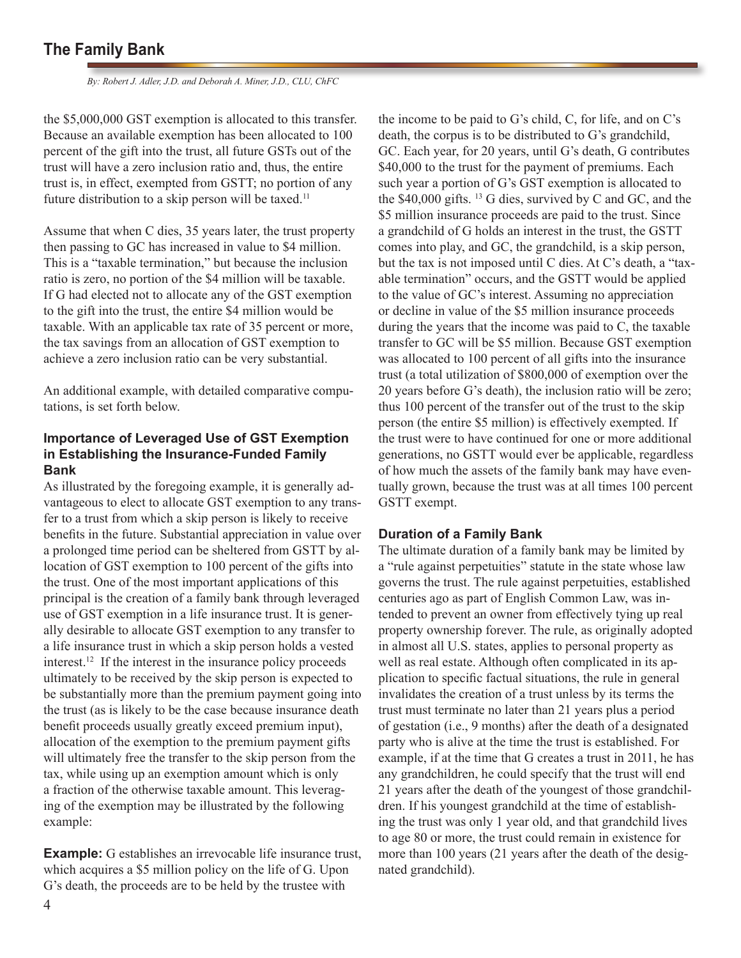*By: Robert J. Adler, J.D. and Deborah A. Miner, J.D., CLU, ChFC*

the \$5,000,000 GST exemption is allocated to this transfer. Because an available exemption has been allocated to 100 percent of the gift into the trust, all future GSTs out of the trust will have a zero inclusion ratio and, thus, the entire trust is, in effect, exempted from GSTT; no portion of any future distribution to a skip person will be taxed.<sup>11</sup>

Assume that when C dies, 35 years later, the trust property then passing to GC has increased in value to \$4 million. This is a "taxable termination," but because the inclusion ratio is zero, no portion of the \$4 million will be taxable. If G had elected not to allocate any of the GST exemption to the gift into the trust, the entire \$4 million would be taxable. With an applicable tax rate of 35 percent or more, the tax savings from an allocation of GST exemption to achieve a zero inclusion ratio can be very substantial.

An additional example, with detailed comparative computations, is set forth below.

### **Importance of Leveraged Use of GST Exemption in Establishing the Insurance-Funded Family Bank**

As illustrated by the foregoing example, it is generally advantageous to elect to allocate GST exemption to any transfer to a trust from which a skip person is likely to receive benefits in the future. Substantial appreciation in value over a prolonged time period can be sheltered from GSTT by allocation of GST exemption to 100 percent of the gifts into the trust. One of the most important applications of this principal is the creation of a family bank through leveraged use of GST exemption in a life insurance trust. It is generally desirable to allocate GST exemption to any transfer to a life insurance trust in which a skip person holds a vested interest.12 If the interest in the insurance policy proceeds ultimately to be received by the skip person is expected to be substantially more than the premium payment going into the trust (as is likely to be the case because insurance death benefit proceeds usually greatly exceed premium input), allocation of the exemption to the premium payment gifts will ultimately free the transfer to the skip person from the tax, while using up an exemption amount which is only a fraction of the otherwise taxable amount. This leveraging of the exemption may be illustrated by the following example:

**Example:** G establishes an irrevocable life insurance trust, which acquires a \$5 million policy on the life of G. Upon G's death, the proceeds are to be held by the trustee with

the income to be paid to G's child, C, for life, and on C's death, the corpus is to be distributed to G's grandchild, GC. Each year, for 20 years, until G's death, G contributes \$40,000 to the trust for the payment of premiums. Each such year a portion of G's GST exemption is allocated to the \$40,000 gifts. 13 G dies, survived by C and GC, and the \$5 million insurance proceeds are paid to the trust. Since a grandchild of G holds an interest in the trust, the GSTT comes into play, and GC, the grandchild, is a skip person, but the tax is not imposed until C dies. At C's death, a "taxable termination" occurs, and the GSTT would be applied to the value of GC's interest. Assuming no appreciation or decline in value of the \$5 million insurance proceeds during the years that the income was paid to C, the taxable transfer to GC will be \$5 million. Because GST exemption was allocated to 100 percent of all gifts into the insurance trust (a total utilization of \$800,000 of exemption over the 20 years before G's death), the inclusion ratio will be zero; thus 100 percent of the transfer out of the trust to the skip person (the entire \$5 million) is effectively exempted. If the trust were to have continued for one or more additional generations, no GSTT would ever be applicable, regardless of how much the assets of the family bank may have eventually grown, because the trust was at all times 100 percent GSTT exempt.

### **Duration of a Family Bank**

The ultimate duration of a family bank may be limited by a "rule against perpetuities" statute in the state whose law governs the trust. The rule against perpetuities, established centuries ago as part of English Common Law, was intended to prevent an owner from effectively tying up real property ownership forever. The rule, as originally adopted in almost all U.S. states, applies to personal property as well as real estate. Although often complicated in its application to specific factual situations, the rule in general invalidates the creation of a trust unless by its terms the trust must terminate no later than 21 years plus a period of gestation (i.e., 9 months) after the death of a designated party who is alive at the time the trust is established. For example, if at the time that G creates a trust in 2011, he has any grandchildren, he could specify that the trust will end 21 years after the death of the youngest of those grandchildren. If his youngest grandchild at the time of establishing the trust was only 1 year old, and that grandchild lives to age 80 or more, the trust could remain in existence for more than 100 years (21 years after the death of the designated grandchild).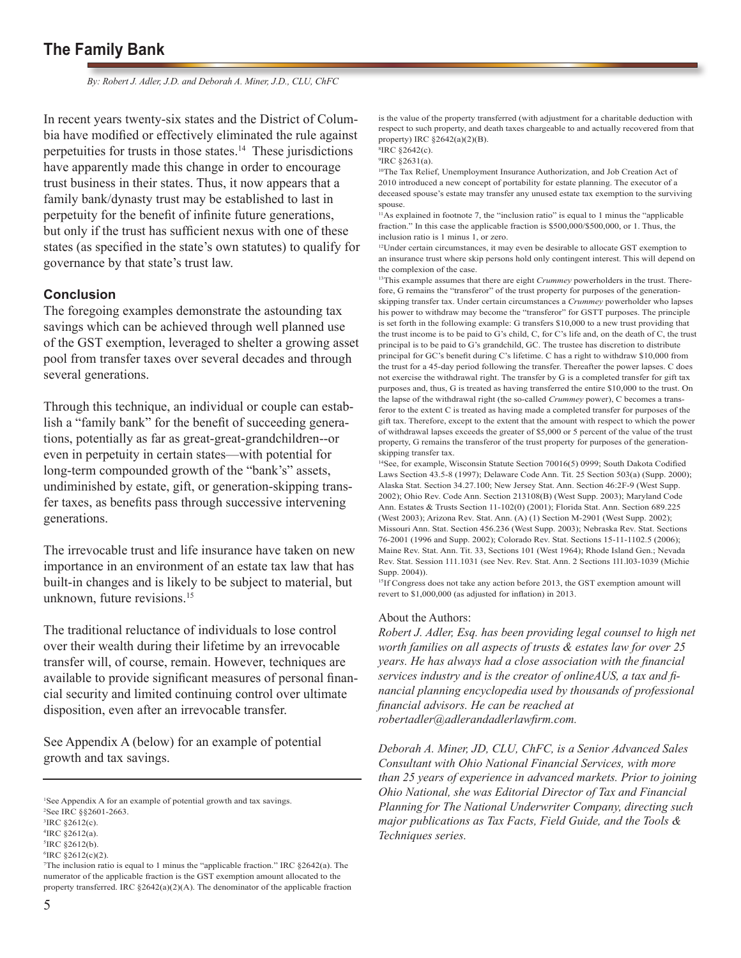*By: Robert J. Adler, J.D. and Deborah A. Miner, J.D., CLU, ChFC*

In recent years twenty-six states and the District of Columbia have modified or effectively eliminated the rule against perpetuities for trusts in those states.14 These jurisdictions have apparently made this change in order to encourage trust business in their states. Thus, it now appears that a family bank/dynasty trust may be established to last in perpetuity for the benefit of infinite future generations, but only if the trust has sufficient nexus with one of these states (as specified in the state's own statutes) to qualify for governance by that state's trust law.

### **Conclusion**

The foregoing examples demonstrate the astounding tax savings which can be achieved through well planned use of the GST exemption, leveraged to shelter a growing asset pool from transfer taxes over several decades and through several generations.

Through this technique, an individual or couple can establish a "family bank" for the benefit of succeeding generations, potentially as far as great-great-grandchildren--or even in perpetuity in certain states—with potential for long-term compounded growth of the "bank's" assets, undiminished by estate, gift, or generation-skipping transfer taxes, as benefits pass through successive intervening generations.

The irrevocable trust and life insurance have taken on new importance in an environment of an estate tax law that has built-in changes and is likely to be subject to material, but unknown, future revisions.15

The traditional reluctance of individuals to lose control over their wealth during their lifetime by an irrevocable transfer will, of course, remain. However, techniques are available to provide significant measures of personal financial security and limited continuing control over ultimate disposition, even after an irrevocable transfer.

See Appendix A (below) for an example of potential growth and tax savings.

is the value of the property transferred (with adjustment for a charitable deduction with respect to such property, and death taxes chargeable to and actually recovered from that property) IRC §2642(a)(2)(B).

8 IRC §2642(c).

9 IRC §2631(a).

10The Tax Relief, Unemployment Insurance Authorization, and Job Creation Act of 2010 introduced a new concept of portability for estate planning. The executor of a deceased spouse's estate may transfer any unused estate tax exemption to the surviving spouse.

<sup>11</sup>As explained in footnote 7, the "inclusion ratio" is equal to 1 minus the "applicable fraction." In this case the applicable fraction is \$500,000/\$500,000, or 1. Thus, the inclusion ratio is 1 minus 1, or zero.

12Under certain circumstances, it may even be desirable to allocate GST exemption to an insurance trust where skip persons hold only contingent interest. This will depend on the complexion of the case.

<sup>13</sup>This example assumes that there are eight *Crummey* powerholders in the trust. Therefore, G remains the "transferor" of the trust property for purposes of the generationskipping transfer tax. Under certain circumstances a *Crummey* powerholder who lapses his power to withdraw may become the "transferor" for GSTT purposes. The principle is set forth in the following example: G transfers \$10,000 to a new trust providing that the trust income is to be paid to G's child, C, for C's life and, on the death of C, the trust principal is to be paid to G's grandchild, GC. The trustee has discretion to distribute principal for GC's benefit during C's lifetime. C has a right to withdraw \$10,000 from the trust for a 45-day period following the transfer. Thereafter the power lapses. C does not exercise the withdrawal right. The transfer by G is a completed transfer for gift tax purposes and, thus, G is treated as having transferred the entire \$10,000 to the trust. On the lapse of the withdrawal right (the so-called *Crummey* power), C becomes a transferor to the extent C is treated as having made a completed transfer for purposes of the gift tax. Therefore, except to the extent that the amount with respect to which the power of withdrawal lapses exceeds the greater of \$5,000 or 5 percent of the value of the trust property, G remains the transferor of the trust property for purposes of the generationskipping transfer tax.

14See, for example, Wisconsin Statute Section 70016(5) 0999; South Dakota Codified Laws Section 43.5-8 (1997); Delaware Code Ann. Tit. 25 Section 503(a) (Supp. 2000); Alaska Stat. Section 34.27.100; New Jersey Stat. Ann. Section 46:2F-9 (West Supp. 2002); Ohio Rev. Code Ann. Section 213108(B) (West Supp. 2003); Maryland Code Ann. Estates & Trusts Section 11-102(0) (2001); Florida Stat. Ann. Section 689.225 (West 2003); Arizona Rev. Stat. Ann. (A) (1) Section M-2901 (West Supp. 2002); Missouri Ann. Stat. Section 456.236 (West Supp. 2003); Nebraska Rev. Stat. Sections 76-2001 (1996 and Supp. 2002); Colorado Rev. Stat. Sections 15-11-1102.5 (2006); Maine Rev. Stat. Ann. Tit. 33, Sections 101 (West 1964); Rhode Island Gen.; Nevada Rev. Stat. Session 111.1031 (see Nev. Rev. Stat. Ann. 2 Sections 1l1.l03-1039 (Michie Supp. 2004)).

<sup>15</sup>If Congress does not take any action before 2013, the GST exemption amount will revert to \$1,000,000 (as adjusted for inflation) in 2013.

#### About the Authors:

*Robert J. Adler, Esq. has been providing legal counsel to high net worth families on all aspects of trusts & estates law for over 25 years. He has always had a close association with the financial services industry and is the creator of onlineAUS, a tax and financial planning encyclopedia used by thousands of professional financial advisors. He can be reached at robertadler@adlerandadlerlawfirm.com.*

*Deborah A. Miner, JD, CLU, ChFC, is a Senior Advanced Sales Consultant with Ohio National Financial Services, with more than 25 years of experience in advanced markets. Prior to joining Ohio National, she was Editorial Director of Tax and Financial Planning for The National Underwriter Company, directing such major publications as Tax Facts, Field Guide, and the Tools & Techniques series.* 

<sup>&</sup>lt;sup>1</sup>See Appendix A for an example of potential growth and tax savings.

<sup>2</sup> See IRC §§2601-2663.

<sup>3</sup> IRC §2612(c).

<sup>4</sup> IRC §2612(a).

<sup>5</sup> IRC §2612(b).

 ${}^{6}$ IRC  $\S 2612(c)(2)$ .

<sup>7</sup> The inclusion ratio is equal to 1 minus the "applicable fraction." IRC §2642(a). The numerator of the applicable fraction is the GST exemption amount allocated to the property transferred. IRC §2642(a)(2)(A). The denominator of the applicable fraction